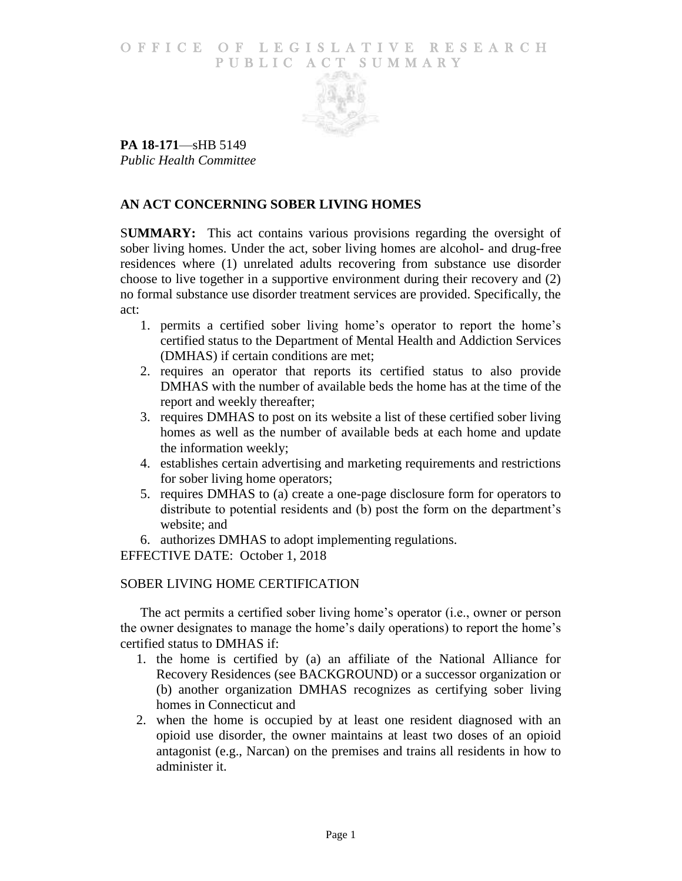### O F FICE OF LEGISLATIVE RESEARCH PUBLIC ACT SUMMARY



**PA 18-171**—sHB 5149 *Public Health Committee*

# **AN ACT CONCERNING SOBER LIVING HOMES**

S**UMMARY:** This act contains various provisions regarding the oversight of sober living homes. Under the act, sober living homes are alcohol- and drug-free residences where (1) unrelated adults recovering from substance use disorder choose to live together in a supportive environment during their recovery and (2) no formal substance use disorder treatment services are provided. Specifically, the act:

- 1. permits a certified sober living home's operator to report the home's certified status to the Department of Mental Health and Addiction Services (DMHAS) if certain conditions are met;
- 2. requires an operator that reports its certified status to also provide DMHAS with the number of available beds the home has at the time of the report and weekly thereafter;
- 3. requires DMHAS to post on its website a list of these certified sober living homes as well as the number of available beds at each home and update the information weekly;
- 4. establishes certain advertising and marketing requirements and restrictions for sober living home operators;
- 5. requires DMHAS to (a) create a one-page disclosure form for operators to distribute to potential residents and (b) post the form on the department's website; and
- 6. authorizes DMHAS to adopt implementing regulations.

EFFECTIVE DATE: October 1, 2018

## SOBER LIVING HOME CERTIFICATION

The act permits a certified sober living home's operator (i.e., owner or person the owner designates to manage the home's daily operations) to report the home's certified status to DMHAS if:

- 1. the home is certified by (a) an affiliate of the National Alliance for Recovery Residences (see BACKGROUND) or a successor organization or (b) another organization DMHAS recognizes as certifying sober living homes in Connecticut and
- 2. when the home is occupied by at least one resident diagnosed with an opioid use disorder, the owner maintains at least two doses of an opioid antagonist (e.g., Narcan) on the premises and trains all residents in how to administer it.